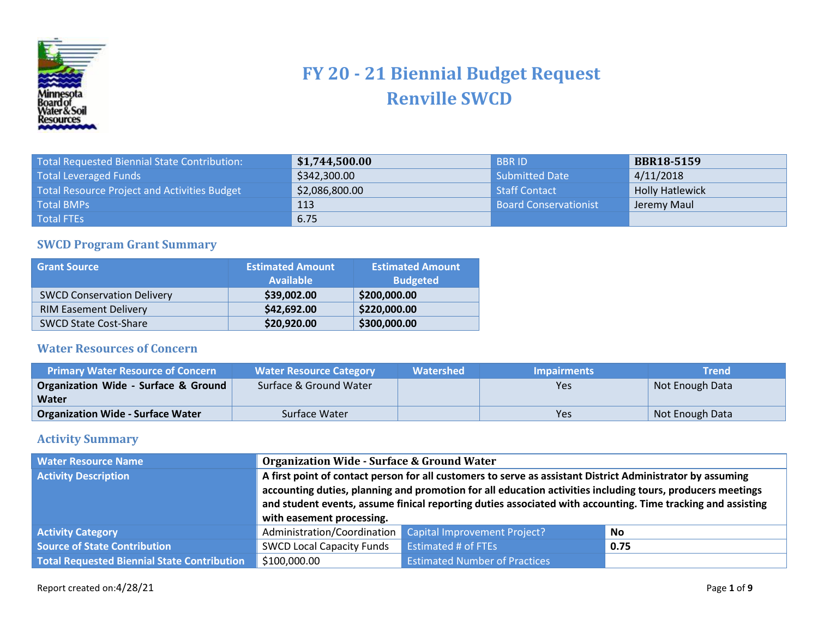

## **FY 20 - 21 Biennial Budget Request Renville SWCD**

| Total Requested Biennial State Contribution: | \$1,744,500.00 | <b>BBRID</b>                 | <b>BBR18-5159</b>      |
|----------------------------------------------|----------------|------------------------------|------------------------|
| <b>Total Leveraged Funds</b>                 | \$342,300.00   | <b>Submitted Date</b>        | 4/11/2018              |
| Total Resource Project and Activities Budget | \$2,086,800.00 | Staff Contact                | <b>Holly Hatlewick</b> |
| <b>Total BMPs</b>                            | 113            | <b>Board Conservationist</b> | Jeremy Maul            |
| Total FTEs                                   | 6.75           |                              |                        |

## **SWCD Program Grant Summary**

| <b>Grant Source</b>               | <b>Estimated Amount</b><br><b>Available</b> | <b>Estimated Amount</b><br><b>Budgeted</b> |
|-----------------------------------|---------------------------------------------|--------------------------------------------|
| <b>SWCD Conservation Delivery</b> | \$39,002.00                                 | \$200,000.00                               |
| <b>RIM Easement Delivery</b>      | \$42,692.00                                 | \$220,000.00                               |
| <b>SWCD State Cost-Share</b>      | \$20,920.00                                 | \$300,000.00                               |

## **Water Resources of Concern**

| <b>Primary Water Resource of Concern</b> | <b>Water Resource Category</b> | Watershed | <b>Impairments</b> | <b>Trend</b>    |
|------------------------------------------|--------------------------------|-----------|--------------------|-----------------|
| Organization Wide - Surface & Ground     | Surface & Ground Water         |           | Yes                | Not Enough Data |
| Water                                    |                                |           |                    |                 |
| <b>Organization Wide - Surface Water</b> | Surface Water                  |           | Yes                | Not Enough Data |

## **Activity Summary**

| <b>Water Resource Name</b>                         |                                                                                                                                                                                                                                                                                                                                                                      | <b>Organization Wide - Surface &amp; Ground Water</b> |      |  |
|----------------------------------------------------|----------------------------------------------------------------------------------------------------------------------------------------------------------------------------------------------------------------------------------------------------------------------------------------------------------------------------------------------------------------------|-------------------------------------------------------|------|--|
| <b>Activity Description</b>                        | A first point of contact person for all customers to serve as assistant District Administrator by assuming<br>accounting duties, planning and promotion for all education activities including tours, producers meetings<br>and student events, assume finical reporting duties associated with accounting. Time tracking and assisting<br>with easement processing. |                                                       |      |  |
| <b>Activity Category</b>                           | Administration/Coordination                                                                                                                                                                                                                                                                                                                                          | Capital Improvement Project?                          | No   |  |
| <b>Source of State Contribution</b>                | <b>SWCD Local Capacity Funds</b>                                                                                                                                                                                                                                                                                                                                     | <b>Estimated # of FTEs</b>                            | 0.75 |  |
| <b>Total Requested Biennial State Contribution</b> | \$100,000.00                                                                                                                                                                                                                                                                                                                                                         | <b>Estimated Number of Practices</b>                  |      |  |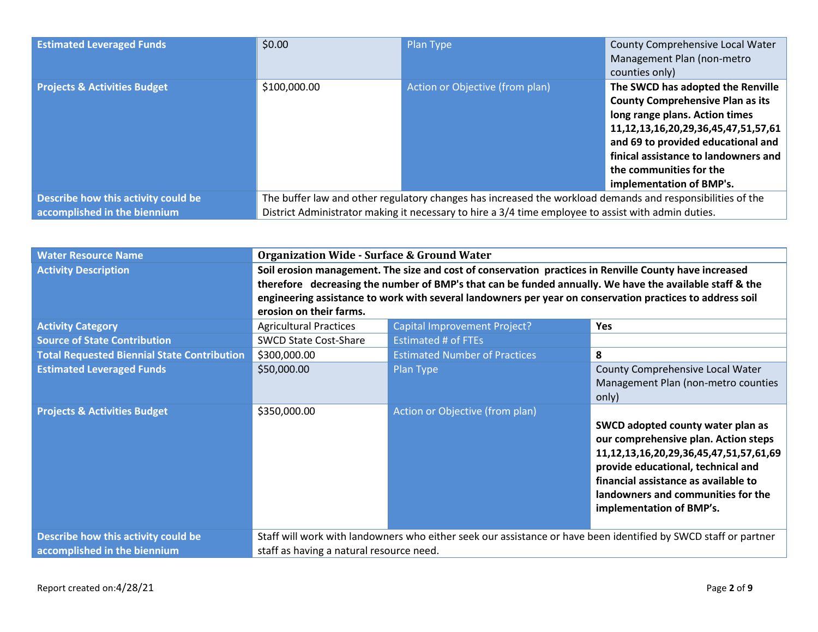| <b>Estimated Leveraged Funds</b>        | \$0.00                                                                                                     | Plan Type                       | County Comprehensive Local Water<br>Management Plan (non-metro |
|-----------------------------------------|------------------------------------------------------------------------------------------------------------|---------------------------------|----------------------------------------------------------------|
|                                         |                                                                                                            |                                 | counties only)                                                 |
| <b>Projects &amp; Activities Budget</b> | \$100,000.00                                                                                               | Action or Objective (from plan) | The SWCD has adopted the Renville                              |
|                                         |                                                                                                            |                                 | <b>County Comprehensive Plan as its</b>                        |
|                                         |                                                                                                            |                                 | long range plans. Action times                                 |
|                                         |                                                                                                            |                                 | 11, 12, 13, 16, 20, 29, 36, 45, 47, 51, 57, 61                 |
|                                         |                                                                                                            |                                 | and 69 to provided educational and                             |
|                                         | finical assistance to landowners and                                                                       |                                 |                                                                |
|                                         |                                                                                                            |                                 | the communities for the                                        |
|                                         |                                                                                                            |                                 | implementation of BMP's.                                       |
| Describe how this activity could be     | The buffer law and other regulatory changes has increased the workload demands and responsibilities of the |                                 |                                                                |
| accomplished in the biennium            | District Administrator making it necessary to hire a 3/4 time employee to assist with admin duties.        |                                 |                                                                |

| <b>Water Resource Name</b>                         | <b>Organization Wide - Surface &amp; Ground Water</b>                                                                                                                                                                                                                                                                                                     |                                                                                                                 |                                                                                                                                                                                                                                                                                 |  |
|----------------------------------------------------|-----------------------------------------------------------------------------------------------------------------------------------------------------------------------------------------------------------------------------------------------------------------------------------------------------------------------------------------------------------|-----------------------------------------------------------------------------------------------------------------|---------------------------------------------------------------------------------------------------------------------------------------------------------------------------------------------------------------------------------------------------------------------------------|--|
| <b>Activity Description</b>                        | Soil erosion management. The size and cost of conservation practices in Renville County have increased<br>therefore decreasing the number of BMP's that can be funded annually. We have the available staff & the<br>engineering assistance to work with several landowners per year on conservation practices to address soil<br>erosion on their farms. |                                                                                                                 |                                                                                                                                                                                                                                                                                 |  |
| <b>Activity Category</b>                           | <b>Agricultural Practices</b>                                                                                                                                                                                                                                                                                                                             | Capital Improvement Project?                                                                                    | <b>Yes</b>                                                                                                                                                                                                                                                                      |  |
| <b>Source of State Contribution</b>                | <b>SWCD State Cost-Share</b>                                                                                                                                                                                                                                                                                                                              | <b>Estimated # of FTEs</b>                                                                                      |                                                                                                                                                                                                                                                                                 |  |
| <b>Total Requested Biennial State Contribution</b> | \$300,000.00                                                                                                                                                                                                                                                                                                                                              | <b>Estimated Number of Practices</b>                                                                            | 8                                                                                                                                                                                                                                                                               |  |
| <b>Estimated Leveraged Funds</b>                   | \$50,000.00                                                                                                                                                                                                                                                                                                                                               | Plan Type                                                                                                       | County Comprehensive Local Water<br>Management Plan (non-metro counties<br>only)                                                                                                                                                                                                |  |
| <b>Projects &amp; Activities Budget</b>            | \$350,000.00                                                                                                                                                                                                                                                                                                                                              | Action or Objective (from plan)                                                                                 | SWCD adopted county water plan as<br>our comprehensive plan. Action steps<br>11, 12, 13, 16, 20, 29, 36, 45, 47, 51, 57, 61, 69<br>provide educational, technical and<br>financial assistance as available to<br>landowners and communities for the<br>implementation of BMP's. |  |
| Describe how this activity could be                |                                                                                                                                                                                                                                                                                                                                                           | Staff will work with landowners who either seek our assistance or have been identified by SWCD staff or partner |                                                                                                                                                                                                                                                                                 |  |
| accomplished in the biennium                       | staff as having a natural resource need.                                                                                                                                                                                                                                                                                                                  |                                                                                                                 |                                                                                                                                                                                                                                                                                 |  |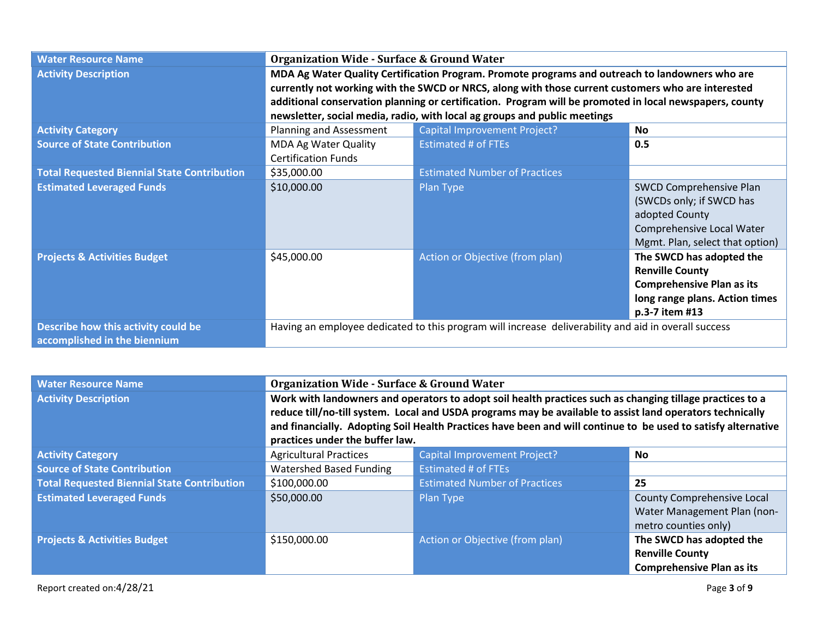| <b>Water Resource Name</b>                                          | <b>Organization Wide - Surface &amp; Ground Water</b>                                           |                                                                                                         |                                  |
|---------------------------------------------------------------------|-------------------------------------------------------------------------------------------------|---------------------------------------------------------------------------------------------------------|----------------------------------|
| <b>Activity Description</b>                                         | MDA Ag Water Quality Certification Program. Promote programs and outreach to landowners who are |                                                                                                         |                                  |
|                                                                     |                                                                                                 | currently not working with the SWCD or NRCS, along with those current customers who are interested      |                                  |
|                                                                     |                                                                                                 | additional conservation planning or certification. Program will be promoted in local newspapers, county |                                  |
|                                                                     |                                                                                                 | newsletter, social media, radio, with local ag groups and public meetings                               |                                  |
| <b>Activity Category</b>                                            | Planning and Assessment                                                                         | <b>Capital Improvement Project?</b>                                                                     | No.                              |
| <b>Source of State Contribution</b>                                 | <b>MDA Ag Water Quality</b>                                                                     | <b>Estimated # of FTEs</b>                                                                              | 0.5                              |
|                                                                     | <b>Certification Funds</b>                                                                      |                                                                                                         |                                  |
| <b>Total Requested Biennial State Contribution</b>                  | \$35,000.00                                                                                     | <b>Estimated Number of Practices</b>                                                                    |                                  |
| <b>Estimated Leveraged Funds</b>                                    | \$10,000.00                                                                                     | Plan Type                                                                                               | <b>SWCD Comprehensive Plan</b>   |
|                                                                     |                                                                                                 |                                                                                                         | (SWCDs only; if SWCD has         |
|                                                                     |                                                                                                 |                                                                                                         | adopted County                   |
|                                                                     |                                                                                                 |                                                                                                         | Comprehensive Local Water        |
|                                                                     |                                                                                                 |                                                                                                         | Mgmt. Plan, select that option)  |
| <b>Projects &amp; Activities Budget</b>                             | \$45,000.00                                                                                     | <b>Action or Objective (from plan)</b>                                                                  | The SWCD has adopted the         |
|                                                                     |                                                                                                 |                                                                                                         | <b>Renville County</b>           |
|                                                                     |                                                                                                 |                                                                                                         | <b>Comprehensive Plan as its</b> |
|                                                                     |                                                                                                 |                                                                                                         | long range plans. Action times   |
|                                                                     |                                                                                                 |                                                                                                         | p.3-7 item #13                   |
| Describe how this activity could be<br>accomplished in the biennium |                                                                                                 | Having an employee dedicated to this program will increase deliverability and aid in overall success    |                                  |

| <b>Water Resource Name</b>                         | <b>Organization Wide - Surface &amp; Ground Water</b>                                                                                                                                                                                                                                                                                                                      |                                      |                                                                                        |
|----------------------------------------------------|----------------------------------------------------------------------------------------------------------------------------------------------------------------------------------------------------------------------------------------------------------------------------------------------------------------------------------------------------------------------------|--------------------------------------|----------------------------------------------------------------------------------------|
| <b>Activity Description</b>                        | Work with landowners and operators to adopt soil health practices such as changing tillage practices to a<br>reduce till/no-till system. Local and USDA programs may be available to assist land operators technically<br>and financially. Adopting Soil Health Practices have been and will continue to be used to satisfy alternative<br>practices under the buffer law. |                                      |                                                                                        |
| <b>Activity Category</b>                           | <b>Agricultural Practices</b>                                                                                                                                                                                                                                                                                                                                              | <b>Capital Improvement Project?</b>  | <b>No</b>                                                                              |
| <b>Source of State Contribution</b>                | Watershed Based Funding                                                                                                                                                                                                                                                                                                                                                    | <b>Estimated # of FTEs</b>           |                                                                                        |
| <b>Total Requested Biennial State Contribution</b> | \$100,000.00                                                                                                                                                                                                                                                                                                                                                               | <b>Estimated Number of Practices</b> | 25                                                                                     |
| <b>Estimated Leveraged Funds</b>                   | \$50,000.00                                                                                                                                                                                                                                                                                                                                                                | Plan Type                            | County Comprehensive Local<br>Water Management Plan (non-<br>metro counties only)      |
| <b>Projects &amp; Activities Budget</b>            | \$150,000.00                                                                                                                                                                                                                                                                                                                                                               | Action or Objective (from plan)      | The SWCD has adopted the<br><b>Renville County</b><br><b>Comprehensive Plan as its</b> |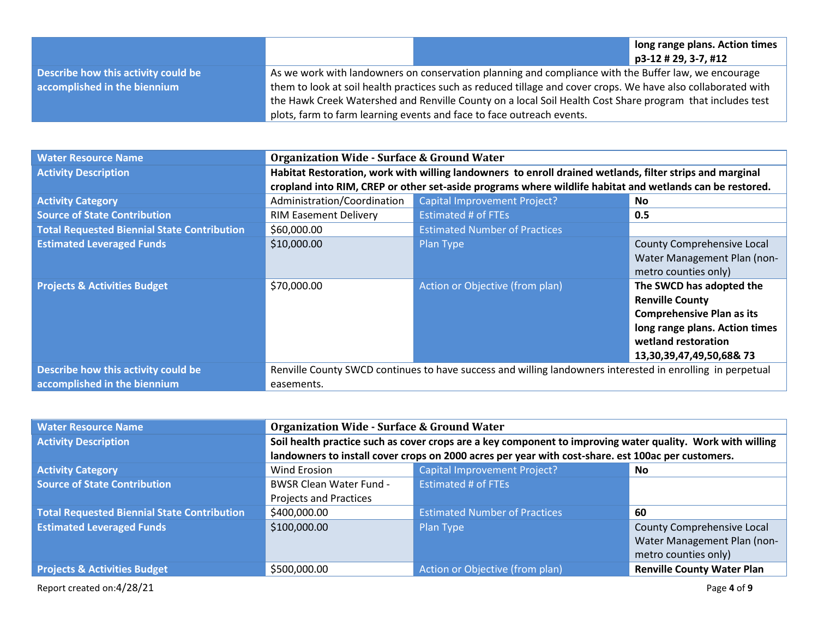|                                     |                                                                                                           |                                                                                                               | long range plans. Action times |  |
|-------------------------------------|-----------------------------------------------------------------------------------------------------------|---------------------------------------------------------------------------------------------------------------|--------------------------------|--|
|                                     |                                                                                                           |                                                                                                               | $p3-12 \# 29, 3-7, \#12$       |  |
| Describe how this activity could be |                                                                                                           | As we work with landowners on conservation planning and compliance with the Buffer law, we encourage          |                                |  |
| accomplished in the biennium        |                                                                                                           | them to look at soil health practices such as reduced tillage and cover crops. We have also collaborated with |                                |  |
|                                     | the Hawk Creek Watershed and Renville County on a local Soil Health Cost Share program that includes test |                                                                                                               |                                |  |
|                                     |                                                                                                           | plots, farm to farm learning events and face to face outreach events.                                         |                                |  |

| <b>Water Resource Name</b>                         | <b>Organization Wide - Surface &amp; Ground Water</b>                                                      |                                                                                                          |                                  |
|----------------------------------------------------|------------------------------------------------------------------------------------------------------------|----------------------------------------------------------------------------------------------------------|----------------------------------|
| <b>Activity Description</b>                        | Habitat Restoration, work with willing landowners to enroll drained wetlands, filter strips and marginal   |                                                                                                          |                                  |
|                                                    |                                                                                                            | cropland into RIM, CREP or other set-aside programs where wildlife habitat and wetlands can be restored. |                                  |
| <b>Activity Category</b>                           | Administration/Coordination                                                                                | Capital Improvement Project?                                                                             | <b>No</b>                        |
| <b>Source of State Contribution</b>                | <b>RIM Easement Delivery</b>                                                                               | <b>Estimated # of FTEs</b>                                                                               | 0.5                              |
| <b>Total Requested Biennial State Contribution</b> | \$60,000.00                                                                                                | <b>Estimated Number of Practices</b>                                                                     |                                  |
| <b>Estimated Leveraged Funds</b>                   | \$10,000.00                                                                                                | Plan Type                                                                                                | County Comprehensive Local       |
|                                                    |                                                                                                            |                                                                                                          | Water Management Plan (non-      |
|                                                    |                                                                                                            |                                                                                                          | metro counties only)             |
| <b>Projects &amp; Activities Budget</b>            | \$70,000.00                                                                                                | Action or Objective (from plan)                                                                          | The SWCD has adopted the         |
|                                                    |                                                                                                            |                                                                                                          | <b>Renville County</b>           |
|                                                    |                                                                                                            |                                                                                                          | <b>Comprehensive Plan as its</b> |
|                                                    |                                                                                                            |                                                                                                          | long range plans. Action times   |
|                                                    |                                                                                                            |                                                                                                          | wetland restoration              |
|                                                    |                                                                                                            |                                                                                                          | 13,30,39,47,49,50,68&73          |
| Describe how this activity could be                | Renville County SWCD continues to have success and willing landowners interested in enrolling in perpetual |                                                                                                          |                                  |
| accomplished in the biennium                       | easements.                                                                                                 |                                                                                                          |                                  |

| <b>Water Resource Name</b>                         | <b>Organization Wide - Surface &amp; Ground Water</b>                                                      |                                      |                                   |
|----------------------------------------------------|------------------------------------------------------------------------------------------------------------|--------------------------------------|-----------------------------------|
| <b>Activity Description</b>                        | Soil health practice such as cover crops are a key component to improving water quality. Work with willing |                                      |                                   |
|                                                    | landowners to install cover crops on 2000 acres per year with cost-share. est 100ac per customers.         |                                      |                                   |
| <b>Activity Category</b>                           | <b>Wind Erosion</b>                                                                                        | <b>Capital Improvement Project?</b>  | No                                |
| <b>Source of State Contribution</b>                | <b>BWSR Clean Water Fund -</b>                                                                             | <b>Estimated # of FTEs</b>           |                                   |
|                                                    | <b>Projects and Practices</b>                                                                              |                                      |                                   |
| <b>Total Requested Biennial State Contribution</b> | \$400,000.00                                                                                               | <b>Estimated Number of Practices</b> | 60                                |
| <b>Estimated Leveraged Funds</b>                   | \$100,000.00                                                                                               | Plan Type                            | <b>County Comprehensive Local</b> |
|                                                    |                                                                                                            |                                      | Water Management Plan (non-       |
|                                                    |                                                                                                            |                                      | metro counties only)              |
| <b>Projects &amp; Activities Budget</b>            | \$500,000.00                                                                                               | Action or Objective (from plan)      | <b>Renville County Water Plan</b> |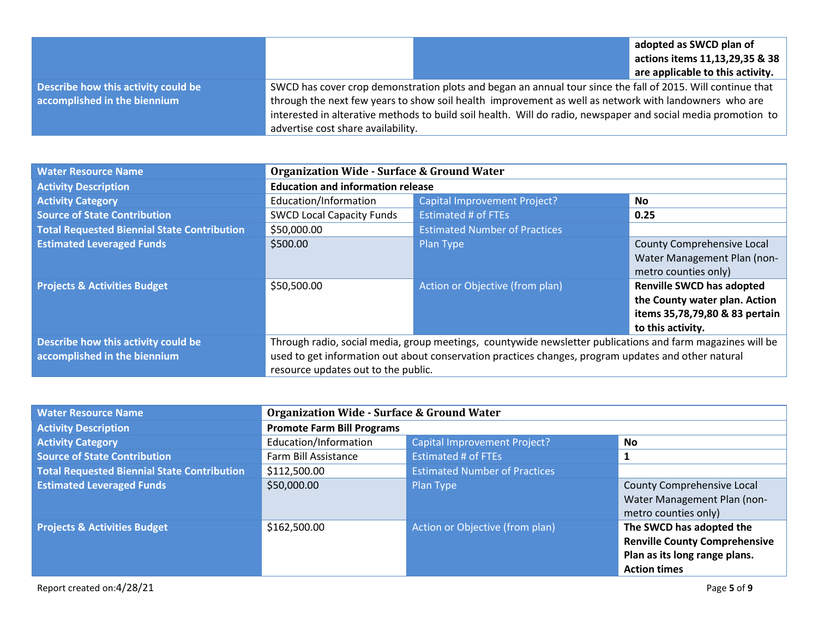|                                     |                                                                                                             |                                                                                                               | adopted as SWCD plan of          |
|-------------------------------------|-------------------------------------------------------------------------------------------------------------|---------------------------------------------------------------------------------------------------------------|----------------------------------|
|                                     |                                                                                                             |                                                                                                               | actions items 11,13,29,35 & 38   |
|                                     |                                                                                                             |                                                                                                               | are applicable to this activity. |
| Describe how this activity could be | SWCD has cover crop demonstration plots and began an annual tour since the fall of 2015. Will continue that |                                                                                                               |                                  |
| accomplished in the biennium        | through the next few years to show soil health improvement as well as network with landowners who are       |                                                                                                               |                                  |
|                                     |                                                                                                             | interested in alterative methods to build soil health. Will do radio, newspaper and social media promotion to |                                  |
|                                     | advertise cost share availability.                                                                          |                                                                                                               |                                  |

| <b>Water Resource Name</b>                                          | <b>Organization Wide - Surface &amp; Ground Water</b>                                                                                                                                                                                                    |                                      |                                                                                                                          |
|---------------------------------------------------------------------|----------------------------------------------------------------------------------------------------------------------------------------------------------------------------------------------------------------------------------------------------------|--------------------------------------|--------------------------------------------------------------------------------------------------------------------------|
| <b>Activity Description</b>                                         | <b>Education and information release</b>                                                                                                                                                                                                                 |                                      |                                                                                                                          |
| <b>Activity Category</b>                                            | Education/Information                                                                                                                                                                                                                                    | Capital Improvement Project?         | No.                                                                                                                      |
| <b>Source of State Contribution</b>                                 | <b>SWCD Local Capacity Funds</b>                                                                                                                                                                                                                         | <b>Estimated # of FTEs</b>           | 0.25                                                                                                                     |
| <b>Total Requested Biennial State Contribution</b>                  | \$50,000.00                                                                                                                                                                                                                                              | <b>Estimated Number of Practices</b> |                                                                                                                          |
| <b>Estimated Leveraged Funds</b>                                    | \$500.00                                                                                                                                                                                                                                                 | Plan Type                            | County Comprehensive Local<br>Water Management Plan (non-<br>metro counties only)                                        |
| <b>Projects &amp; Activities Budget</b>                             | \$50,500.00                                                                                                                                                                                                                                              | Action or Objective (from plan)      | <b>Renville SWCD has adopted</b><br>the County water plan. Action<br>items 35,78,79,80 & 83 pertain<br>to this activity. |
| Describe how this activity could be<br>accomplished in the biennium | Through radio, social media, group meetings, countywide newsletter publications and farm magazines will be<br>used to get information out about conservation practices changes, program updates and other natural<br>resource updates out to the public. |                                      |                                                                                                                          |

| <b>Water Resource Name</b>                         | <b>Organization Wide - Surface &amp; Ground Water</b> |                                      |                                      |
|----------------------------------------------------|-------------------------------------------------------|--------------------------------------|--------------------------------------|
| <b>Activity Description</b>                        | <b>Promote Farm Bill Programs</b>                     |                                      |                                      |
| <b>Activity Category</b>                           | Education/Information                                 | <b>Capital Improvement Project?</b>  | <b>No</b>                            |
| <b>Source of State Contribution</b>                | Farm Bill Assistance                                  | <b>Estimated # of FTEs</b>           |                                      |
| <b>Total Requested Biennial State Contribution</b> | \$112,500.00                                          | <b>Estimated Number of Practices</b> |                                      |
| <b>Estimated Leveraged Funds</b>                   | \$50,000.00                                           | Plan Type                            | County Comprehensive Local           |
|                                                    |                                                       |                                      | Water Management Plan (non-          |
|                                                    |                                                       |                                      | metro counties only)                 |
| <b>Projects &amp; Activities Budget</b>            | \$162,500.00                                          | Action or Objective (from plan)      | The SWCD has adopted the             |
|                                                    |                                                       |                                      | <b>Renville County Comprehensive</b> |
|                                                    |                                                       |                                      | Plan as its long range plans.        |
|                                                    |                                                       |                                      | <b>Action times</b>                  |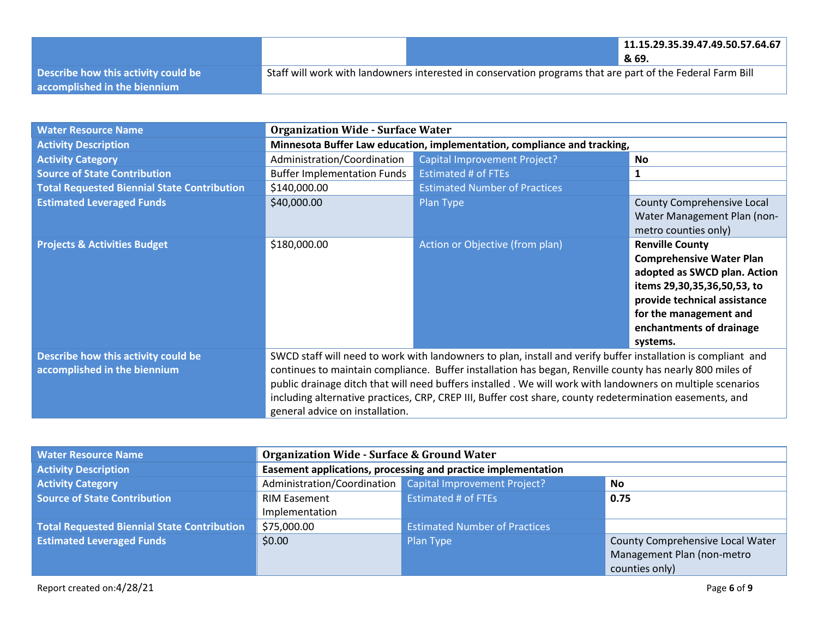|                                     |                                                                                                            | 11.15.29.35.39.47.49.50.57.64.67 |
|-------------------------------------|------------------------------------------------------------------------------------------------------------|----------------------------------|
|                                     |                                                                                                            | & 69.                            |
| Describe how this activity could be | Staff will work with landowners interested in conservation programs that are part of the Federal Farm Bill |                                  |
| accomplished in the biennium        |                                                                                                            |                                  |

| <b>Water Resource Name</b>                                          | <b>Organization Wide - Surface Water</b>                                                                                                                                                                                                                                                                                                                                                                                                                                               |                                      |                                                                                                                                                                                                                            |
|---------------------------------------------------------------------|----------------------------------------------------------------------------------------------------------------------------------------------------------------------------------------------------------------------------------------------------------------------------------------------------------------------------------------------------------------------------------------------------------------------------------------------------------------------------------------|--------------------------------------|----------------------------------------------------------------------------------------------------------------------------------------------------------------------------------------------------------------------------|
| <b>Activity Description</b>                                         | Minnesota Buffer Law education, implementation, compliance and tracking,                                                                                                                                                                                                                                                                                                                                                                                                               |                                      |                                                                                                                                                                                                                            |
| <b>Activity Category</b>                                            | Administration/Coordination                                                                                                                                                                                                                                                                                                                                                                                                                                                            | Capital Improvement Project?         | No.                                                                                                                                                                                                                        |
| <b>Source of State Contribution</b>                                 | <b>Buffer Implementation Funds</b>                                                                                                                                                                                                                                                                                                                                                                                                                                                     | <b>Estimated # of FTEs</b>           | $\mathbf{1}$                                                                                                                                                                                                               |
| <b>Total Requested Biennial State Contribution</b>                  | \$140,000.00                                                                                                                                                                                                                                                                                                                                                                                                                                                                           | <b>Estimated Number of Practices</b> |                                                                                                                                                                                                                            |
| <b>Estimated Leveraged Funds</b>                                    | \$40,000.00                                                                                                                                                                                                                                                                                                                                                                                                                                                                            | Plan Type                            | County Comprehensive Local<br>Water Management Plan (non-<br>metro counties only)                                                                                                                                          |
| <b>Projects &amp; Activities Budget</b>                             | \$180,000.00                                                                                                                                                                                                                                                                                                                                                                                                                                                                           | Action or Objective (from plan)      | <b>Renville County</b><br><b>Comprehensive Water Plan</b><br>adopted as SWCD plan. Action<br>items 29,30,35,36,50,53, to<br>provide technical assistance<br>for the management and<br>enchantments of drainage<br>systems. |
| Describe how this activity could be<br>accomplished in the biennium | SWCD staff will need to work with landowners to plan, install and verify buffer installation is compliant and<br>continues to maintain compliance. Buffer installation has began, Renville county has nearly 800 miles of<br>public drainage ditch that will need buffers installed. We will work with landowners on multiple scenarios<br>including alternative practices, CRP, CREP III, Buffer cost share, county redetermination easements, and<br>general advice on installation. |                                      |                                                                                                                                                                                                                            |

| <b>Water Resource Name</b>                         | <b>Organization Wide - Surface &amp; Ground Water</b>         |                                                          |                                  |
|----------------------------------------------------|---------------------------------------------------------------|----------------------------------------------------------|----------------------------------|
| <b>Activity Description</b>                        | Easement applications, processing and practice implementation |                                                          |                                  |
| <b>Activity Category</b>                           |                                                               | Administration/Coordination Capital Improvement Project? | No                               |
| <b>Source of State Contribution</b>                | <b>RIM Easement</b>                                           | <b>Estimated # of FTEs</b>                               | 0.75                             |
|                                                    | Implementation                                                |                                                          |                                  |
| <b>Total Requested Biennial State Contribution</b> | \$75,000.00                                                   | <b>Estimated Number of Practices</b>                     |                                  |
| <b>Estimated Leveraged Funds</b>                   | \$0.00                                                        | Plan Type                                                | County Comprehensive Local Water |
|                                                    |                                                               |                                                          | Management Plan (non-metro       |
|                                                    |                                                               |                                                          | counties only)                   |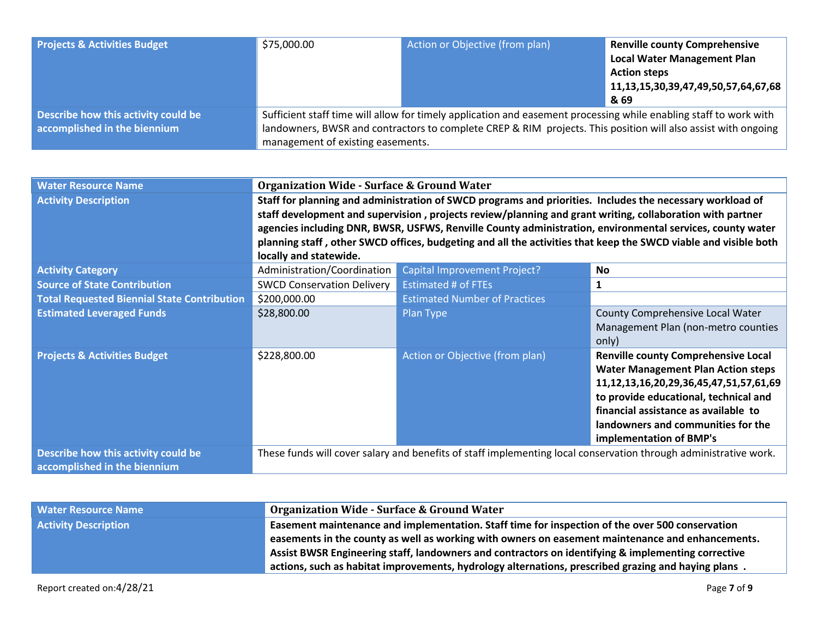| <b>Projects &amp; Activities Budget</b>                             | \$75,000.00                                                                                                                                                                                                                                                             | Action or Objective (from plan) | <b>Renville county Comprehensive</b><br><b>Local Water Management Plan</b><br><b>Action steps</b><br>11, 13, 15, 30, 39, 47, 49, 50, 57, 64, 67, 68<br>& 69 |
|---------------------------------------------------------------------|-------------------------------------------------------------------------------------------------------------------------------------------------------------------------------------------------------------------------------------------------------------------------|---------------------------------|-------------------------------------------------------------------------------------------------------------------------------------------------------------|
| Describe how this activity could be<br>accomplished in the biennium | Sufficient staff time will allow for timely application and easement processing while enabling staff to work with<br>landowners, BWSR and contractors to complete CREP & RIM projects. This position will also assist with ongoing<br>management of existing easements. |                                 |                                                                                                                                                             |

| <b>Water Resource Name</b>                         | <b>Organization Wide - Surface &amp; Ground Water</b>                                                     |                                                                                                           |                                                                                                                  |  |
|----------------------------------------------------|-----------------------------------------------------------------------------------------------------------|-----------------------------------------------------------------------------------------------------------|------------------------------------------------------------------------------------------------------------------|--|
| <b>Activity Description</b>                        | Staff for planning and administration of SWCD programs and priorities. Includes the necessary workload of |                                                                                                           |                                                                                                                  |  |
|                                                    |                                                                                                           | staff development and supervision, projects review/planning and grant writing, collaboration with partner |                                                                                                                  |  |
|                                                    |                                                                                                           |                                                                                                           | agencies including DNR, BWSR, USFWS, Renville County administration, environmental services, county water        |  |
|                                                    |                                                                                                           |                                                                                                           | planning staff, other SWCD offices, budgeting and all the activities that keep the SWCD viable and visible both  |  |
|                                                    | locally and statewide.                                                                                    |                                                                                                           |                                                                                                                  |  |
| <b>Activity Category</b>                           | Administration/Coordination                                                                               | <b>Capital Improvement Project?</b>                                                                       | <b>No</b>                                                                                                        |  |
| <b>Source of State Contribution</b>                | <b>SWCD Conservation Delivery</b>                                                                         | <b>Estimated # of FTEs</b>                                                                                | 1                                                                                                                |  |
| <b>Total Requested Biennial State Contribution</b> | \$200,000.00                                                                                              | <b>Estimated Number of Practices</b>                                                                      |                                                                                                                  |  |
| <b>Estimated Leveraged Funds</b>                   | \$28,800.00                                                                                               | Plan Type                                                                                                 | County Comprehensive Local Water                                                                                 |  |
|                                                    |                                                                                                           |                                                                                                           | Management Plan (non-metro counties                                                                              |  |
|                                                    |                                                                                                           |                                                                                                           | only)                                                                                                            |  |
| <b>Projects &amp; Activities Budget</b>            | \$228,800.00                                                                                              | Action or Objective (from plan)                                                                           | <b>Renville county Comprehensive Local</b>                                                                       |  |
|                                                    |                                                                                                           |                                                                                                           | <b>Water Management Plan Action steps</b>                                                                        |  |
|                                                    |                                                                                                           |                                                                                                           | 11, 12, 13, 16, 20, 29, 36, 45, 47, 51, 57, 61, 69                                                               |  |
|                                                    |                                                                                                           |                                                                                                           | to provide educational, technical and                                                                            |  |
|                                                    |                                                                                                           |                                                                                                           | financial assistance as available to                                                                             |  |
|                                                    |                                                                                                           |                                                                                                           | landowners and communities for the                                                                               |  |
|                                                    |                                                                                                           |                                                                                                           | implementation of BMP's                                                                                          |  |
| Describe how this activity could be                |                                                                                                           |                                                                                                           | These funds will cover salary and benefits of staff implementing local conservation through administrative work. |  |
| accomplished in the biennium                       |                                                                                                           |                                                                                                           |                                                                                                                  |  |

| <b>Water Resource Name</b>  | <b>Organization Wide - Surface &amp; Ground Water</b>                                               |
|-----------------------------|-----------------------------------------------------------------------------------------------------|
| <b>Activity Description</b> | Easement maintenance and implementation. Staff time for inspection of the over 500 conservation     |
|                             | easements in the county as well as working with owners on easement maintenance and enhancements.    |
|                             | Assist BWSR Engineering staff, landowners and contractors on identifying & implementing corrective  |
|                             | actions, such as habitat improvements, hydrology alternations, prescribed grazing and haying plans. |